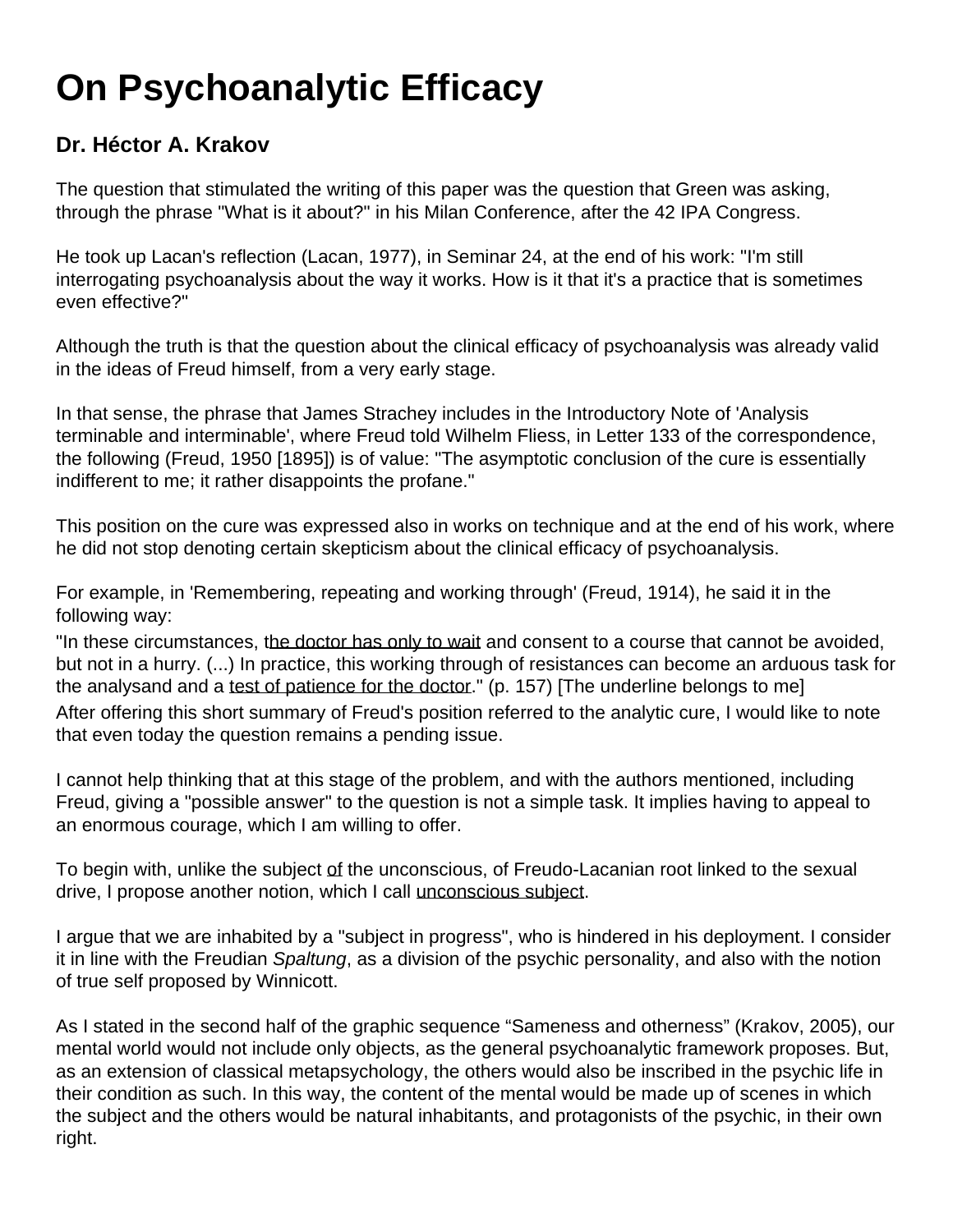## **On Psychoanalytic Efficacy**

## **Dr. Héctor A. Krakov**

The question that stimulated the writing of this paper was the question that Green was asking, through the phrase "What is it about?" in his Milan Conference, after the 42 IPA Congress.

He took up Lacan's reflection (Lacan, 1977), in Seminar 24, at the end of his work: "I'm still interrogating psychoanalysis about the way it works. How is it that it's a practice that is sometimes even effective?"

Although the truth is that the question about the clinical efficacy of psychoanalysis was already valid in the ideas of Freud himself, from a very early stage.

In that sense, the phrase that James Strachey includes in the Introductory Note of 'Analysis terminable and interminable', where Freud told Wilhelm Fliess, in Letter 133 of the correspondence, the following (Freud, 1950 [1895]) is of value: "The asymptotic conclusion of the cure is essentially indifferent to me; it rather disappoints the profane."

This position on the cure was expressed also in works on technique and at the end of his work, where he did not stop denoting certain skepticism about the clinical efficacy of psychoanalysis.

For example, in 'Remembering, repeating and working through' (Freud, 1914), he said it in the following way:

"In these circumstances, the doctor has only to wait and consent to a course that cannot be avoided, but not in a hurry. (...) In practice, this working through of resistances can become an arduous task for the analysand and a test of patience for the doctor." (p. 157) [The underline belongs to me] After offering this short summary of Freud's position referred to the analytic cure, I would like to note that even today the question remains a pending issue.

I cannot help thinking that at this stage of the problem, and with the authors mentioned, including Freud, giving a "possible answer" to the question is not a simple task. It implies having to appeal to an enormous courage, which I am willing to offer.

To begin with, unlike the subject of the unconscious, of Freudo-Lacanian root linked to the sexual drive, I propose another notion, which I call unconscious subject.

I argue that we are inhabited by a "subject in progress", who is hindered in his deployment. I consider it in line with the Freudian Spaltung, as a division of the psychic personality, and also with the notion of true self proposed by Winnicott.

As I stated in the second half of the graphic sequence "Sameness and otherness" (Krakov, 2005), our mental world would not include only objects, as the general psychoanalytic framework proposes. But, as an extension of classical metapsychology, the others would also be inscribed in the psychic life in their condition as such. In this way, the content of the mental would be made up of scenes in which the subject and the others would be natural inhabitants, and protagonists of the psychic, in their own right.